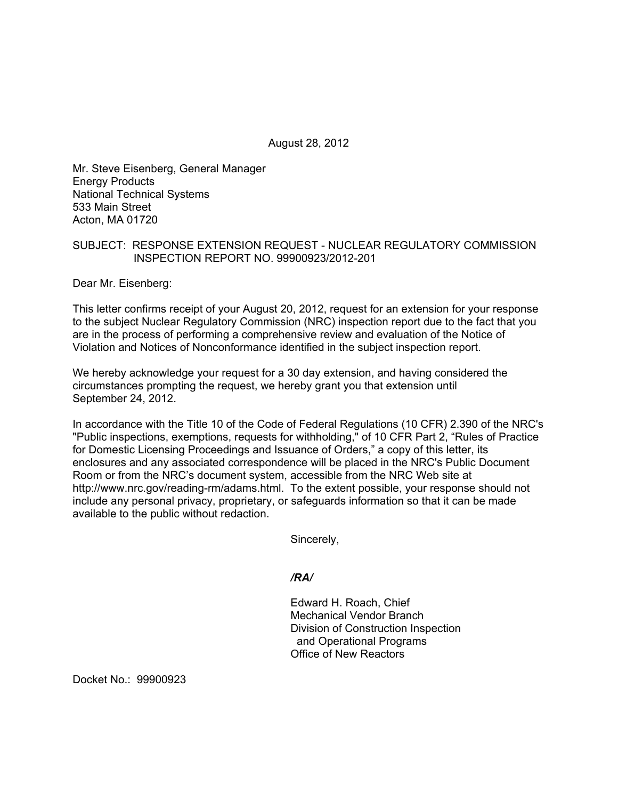August 28, 2012

Mr. Steve Eisenberg, General Manager Energy Products National Technical Systems 533 Main Street Acton, MA 01720

## SUBJECT: RESPONSE EXTENSION REQUEST - NUCLEAR REGULATORY COMMISSION INSPECTION REPORT NO. 99900923/2012-201

Dear Mr. Eisenberg:

This letter confirms receipt of your August 20, 2012, request for an extension for your response to the subject Nuclear Regulatory Commission (NRC) inspection report due to the fact that you are in the process of performing a comprehensive review and evaluation of the Notice of Violation and Notices of Nonconformance identified in the subject inspection report.

We hereby acknowledge your request for a 30 day extension, and having considered the circumstances prompting the request, we hereby grant you that extension until September 24, 2012.

In accordance with the Title 10 of the Code of Federal Regulations (10 CFR) 2.390 of the NRC's "Public inspections, exemptions, requests for withholding," of 10 CFR Part 2, "Rules of Practice for Domestic Licensing Proceedings and Issuance of Orders," a copy of this letter, its enclosures and any associated correspondence will be placed in the NRC's Public Document Room or from the NRC's document system, accessible from the NRC Web site at http://www.nrc.gov/reading-rm/adams.html. To the extent possible, your response should not include any personal privacy, proprietary, or safeguards information so that it can be made available to the public without redaction.

Sincerely,

*/RA/* 

Edward H. Roach, Chief Mechanical Vendor Branch Division of Construction Inspection and Operational Programs Office of New Reactors

Docket No.: 99900923